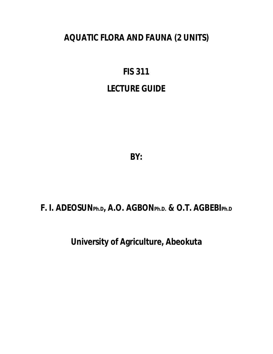# **AQUATIC FLORA AND FAUNA (2 UNITS)**

# **FIS 311 LECTURE GUIDE**

**BY:**

# **F. I. ADEOSUNPh.D, A.O. AGBONPh.D. & O.T. AGBEBIPh.D**

**University of Agriculture, Abeokuta**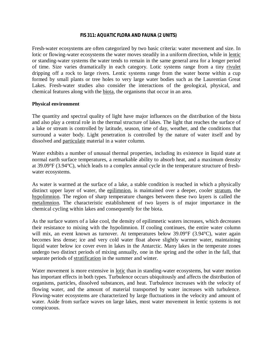#### **FIS 311: AQUATIC FLORA AND FAUNA (2 UNITS)**

Fresh-water ecosystems are often categorized by two basic criteria: water movement and size. In lotic or flowing-water ecosystems the water moves steadily in a uniform direction, while in lentic or standing-water systems the water tends to remain in the same general area for a longer period of time. Size varies dramatically in each category. Lotic systems range from a tiny rivulet dripping off a rock to large rivers. Lentic systems range from the water borne within a cup formed by small plants or tree holes to very large water bodies such as the Laurentian Great Lakes. Fresh-water studies also consider the interactions of the geological, physical, and chemical features along with the biota, the organisms that occur in an area.

#### **Physical environment**

The quantity and spectral quality of light have major influences on the distribution of the biota and also play a central role in the thermal structure of lakes. The light that reaches the surface of a lake or stream is controlled by latitude, season, time of day, weather, and the conditions that surround a water body. Light penetration is controlled by the nature of water itself and by dissolved and particulate material in a water column.

Water exhibits a number of unusual thermal properties, including its existence in liquid state at normal earth surface temperatures, a remarkable ability to absorb heat, and a maximum density at 39.09°F (3.94°C), which leads to a complex annual cycle in the temperature structure of freshwater ecosystems.

As water is warmed at the surface of a lake, a stable condition is reached in which a physically distinct upper layer of water, the epilimnion, is maintained over a deeper, cooler stratum, the hypolimnion. The region of sharp temperature changes between these two layers is called the metalimnion. The characteristic establishment of two layers is of major importance in the chemical cycling within lakes and consequently for the biota.

As the surface waters of a lake cool, the density of epilimnetic waters increases, which decreases their resistance to mixing with the hypolimnion. If cooling continues, the entire water column will mix, an event known as turnover. At temperatures below 39.09°F (3.94°C), water again becomes less dense; ice and very cold water float above slightly warmer water, maintaining liquid water below ice cover even in lakes in the Antarctic. Many lakes in the temperate zones undergo two distinct periods of mixing annually, one in the spring and the other in the fall, that separate periods of stratification in the summer and winter.

Water movement is more extensive in lotic than in standing-water ecosystems, but water motion has important effects in both types. Turbulence occurs ubiquitously and affects the distribution of organisms, particles, dissolved substances, and heat. Turbulence increases with the velocity of flowing water, and the amount of material transported by water increases with turbulence. Flowing-water ecosystems are characterized by large fluctuations in the velocity and amount of water. Aside from surface waves on large lakes, most water movement in lentic systems is not conspicuous.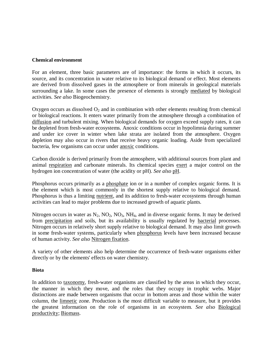#### **Chemical environment**

For an element, three basic parameters are of importance: the forms in which it occurs, its source, and its concentration in water relative to its biological demand or effect. Most elements are derived from dissolved gases in the atmosphere or from minerals in geological materials surrounding a lake. In some cases the presence of elements is strongly mediated by biological activities. *See also* Biogeochemistry.

Oxygen occurs as dissolved  $O_2$  and in combination with other elements resulting from chemical or biological reactions. It enters water primarily from the atmosphere through a combination of diffusion and turbulent mixing. When biological demands for oxygen exceed supply rates, it can be depleted from fresh-water ecosystems. Anoxic conditions occur in hypolimnia during summer and under ice cover in winter when lake strata are isolated from the atmosphere. Oxygen depletion may also occur in rivers that receive heavy organic loading. Aside from specialized bacteria, few organisms can occur under anoxic conditions.

Carbon dioxide is derived primarily from the atmosphere, with additional sources from plant and animal respiration and carbonate minerals. Its chemical species exert a major control on the hydrogen ion concentration of water (the acidity or pH). *See also* pH.

Phosphorus occurs primarily as a phosphate ion or in a number of complex organic forms. It is the element which is most commonly in the shortest supply relative to biological demand. Phosphorus is thus a limiting nutrient, and its addition to fresh-water ecosystems through human activities can lead to major problems due to increased growth of aquatic plants.

Nitrogen occurs in water as  $N_2$ ,  $NO_2$ ,  $NO_3$ ,  $NH_4$ , and in diverse organic forms. It may be derived from precipitation and soils, but its availability is usually regulated by bacterial processes. Nitrogen occurs in relatively short supply relative to biological demand. It may also limit growth in some fresh-water systems, particularly when phosphorus levels have been increased because of human activity. *See also* Nitrogen fixation.

A variety of other elements also help determine the occurrence of fresh-water organisms either directly or by the elements' effects on water chemistry.

### **Biota**

In addition to taxonomy, fresh-water organisms are classified by the areas in which they occur, the manner in which they move, and the roles that they occupy in trophic webs. Major distinctions are made between organisms that occur in bottom areas and those within the water column, the limnetic zone. Production is the most difficult variable to measure, but it provides the greatest information on the role of organisms in an ecosystem. *See also* Biological productivity; Biomass.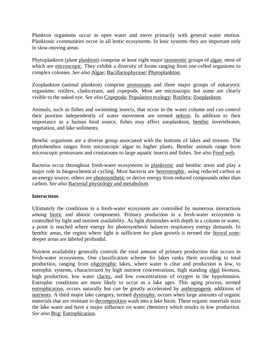Plankton organisms occur in open water and move primarily with general water motion. Planktonic communities occur in all lentic ecosystems. In lotic systems they are important only in slow-moving areas.

Phytoplankton (plant plankton) comprise at least eight major taxonomic groups of algae, most of which are microscopic. They exhibit a diversity of forms ranging from one-celled organisms to complex colonies. *See also* Algae; Bacillariophyceae; Phytoplankton.

Zooplankton (animal plankton) comprise protozoans and three major groups of eukaryotic organisms: rotifers, cladocerans, and copepods. Most are microscopic but some are clearly visible to the naked eye. *See also* Copepoda; Population ecology; Rotifera; Zooplankton.

Animals, such as fishes and swimming insects, that occur in the water column and can control their position independently of water movement are termed nekton. In addition to their importance as a human food source, fishes may affect zooplankton, benthic invertebrates, vegetation, and lake sediments.

Benthic organisms are a diverse group associated with the bottoms of lakes and streams. The phytobenthos ranges from microscopic algae to higher plants. Benthic animals range from microscopic protozoans and crustaceans to large aquatic insects and fishes. *See also* Food web.

Bacteria occur throughout fresh-water ecosystems in planktonic and benthic areas and play a major role in biogeochemical cycling. Most bacteria are heterotrophic, using reduced carbon as an energy source; others are photosynthetic or derive energy from reduced compounds other than carbon. *See also* Bacterial physiology and metabolism.

### **Interactions**

Ultimately the conditions in a fresh-water ecosystem are controlled by numerous interactions among biotic and abiotic components. Primary production in a fresh-water ecosystem is controlled by light and nutrient availability. As light diminishes with depth in a column or water, a point is reached where energy for photosynthesis balances respiratory energy demands. In benthic areas, the region where light is sufficient for plant growth is termed the littoral zone; deeper areas are labeled profundal.

Nutrient availability generally controls the total amount of primary production that occurs in fresh-water ecosystems. One classification scheme for lakes ranks them according to total production, ranging from oligotrophic lakes, where water is clear and production is low, to eutrophic systems, characterized by high nutrient concentrations, high standing algal biomass, high production, low water clarity, and low concentrations of oxygen in the hypolimnion. Eutrophic conditions are more likely to occur as a lake ages. This aging process, termed eutrophication, occurs naturally but can be greatly accelerated by anthropogenic additions of nutrients. A third major lake category, termed dystrophy, occurs when large amounts of organic materials that are resistant to decomposition wash into a lake basin. These organic materials stain the lake water and have a major influence on water chemistry which results in low production. *See also* Bog; Eutrophication.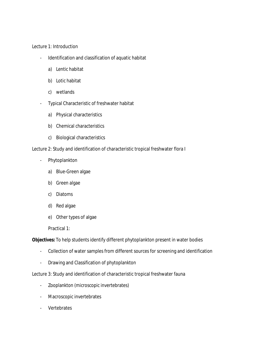### Lecture 1: Introduction

- Identification and classification of aquatic habitat
	- a) Lentic habitat
	- b) Lotic habitat
	- c) wetlands
- Typical Characteristic of freshwater habitat
	- a) Physical characteristics
	- b) Chemical characteristics
	- c) Biological characteristics

## Lecture 2: Study and identification of characteristic tropical freshwater flora I

- Phytoplankton
	- a) Blue-Green algae
	- b) Green algae
	- c) Diatoms
	- d) Red algae
	- e) Other types of algae

Practical 1:

**Objectives:** To help students identify different phytoplankton present in water bodies

- Collection of water samples from different sources for screening and identification
- Drawing and Classification of phytoplankton

Lecture 3: Study and identification of characteristic tropical freshwater fauna

- Zooplankton (microscopic invertebrates)
- Macroscopic invertebrates
- Vertebrates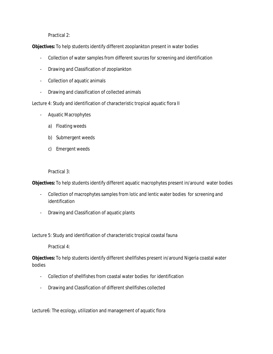Practical 2:

**Objectives:** To help students identify different zooplankton present in water bodies

- Collection of water samples from different sources for screening and identification
- Drawing and Classification of zooplankton
- Collection of aquatic animals
- Drawing and classification of collected animals

Lecture 4: Study and identification of characteristic tropical aquatic flora II

- Aquatic Macrophytes
	- a) Floating weeds
	- b) Submergent weeds
	- c) Emergent weeds

Practical 3:

**Objectives:** To help students identify different aquatic macrophytes present in/around water bodies

- Collection of macrophytes samples from lotic and lentic water bodies for screening and identification
- Drawing and Classification of aquatic plants

Lecture 5: Study and identification of characteristic tropical coastal fauna

Practical 4:

**Objectives:** To help students identify different shellfishes present in/around Nigeria coastal water bodies

- Collection of shellfishes from coastal water bodies for identification
- Drawing and Classification of different shellfishes collected

Lecture6: The ecology, utilization and management of aquatic flora